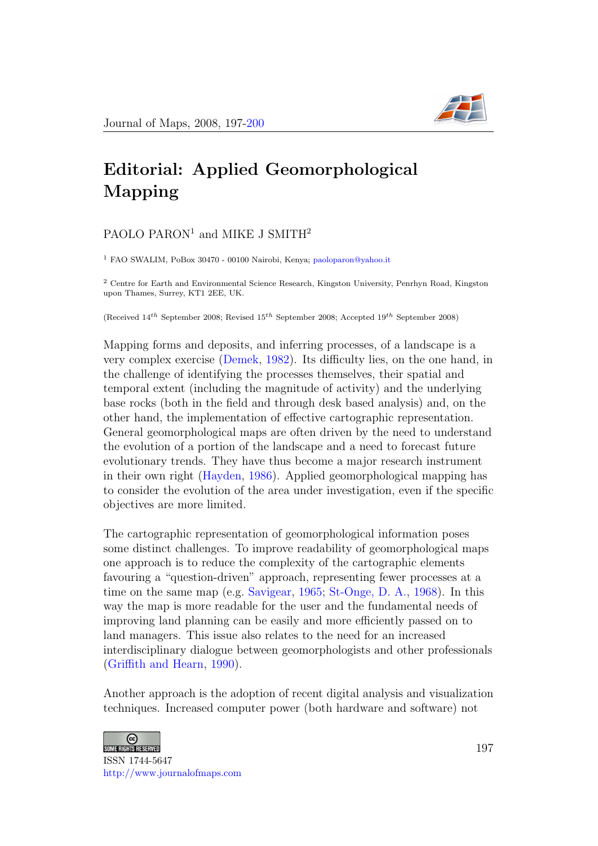

## Editorial: Applied Geomorphological Mapping

## PAOLO PARON<sup>1</sup> and MIKE J SMITH<sup>2</sup>

<sup>1</sup> FAO SWALIM, PoBox 30470 - 00100 Nairobi, Kenya; [paoloparon@yahoo.it](mailto:paoloparon@yahoo.it)

<sup>2</sup> Centre for Earth and Environmental Science Research, Kingston University, Penrhyn Road, Kingston upon Thames, Surrey, KT1 2EE, UK.

(Received  $14^{th}$  September 2008; Revised  $15^{th}$  September 2008; Accepted  $19^{th}$  September 2008)

Mapping forms and deposits, and inferring processes, of a landscape is a very complex exercise [\(Demek,](#page-2-0) [1982\)](#page-2-0). Its difficulty lies, on the one hand, in the challenge of identifying the processes themselves, their spatial and temporal extent (including the magnitude of activity) and the underlying base rocks (both in the field and through desk based analysis) and, on the other hand, the implementation of effective cartographic representation. General geomorphological maps are often driven by the need to understand the evolution of a portion of the landscape and a need to forecast future evolutionary trends. They have thus become a major research instrument in their own right [\(Hayden,](#page-3-1) [1986\)](#page-3-1). Applied geomorphological mapping has to consider the evolution of the area under investigation, even if the specific objectives are more limited.

The cartographic representation of geomorphological information poses some distinct challenges. To improve readability of geomorphological maps one approach is to reduce the complexity of the cartographic elements favouring a "question-driven" approach, representing fewer processes at a time on the same map (e.g. [Savigear,](#page-3-2) [1965;](#page-3-2) [St-Onge, D. A.,](#page-3-3) [1968\)](#page-3-3). In this way the map is more readable for the user and the fundamental needs of improving land planning can be easily and more efficiently passed on to land managers. This issue also relates to the need for an increased interdisciplinary dialogue between geomorphologists and other professionals [\(Griffith and Hearn,](#page-2-1) [1990\)](#page-2-1).

Another approach is the adoption of recent digital analysis and visualization techniques. Increased computer power (both hardware and software) not



ISSN 1744-5647 <http://www.journalofmaps.com>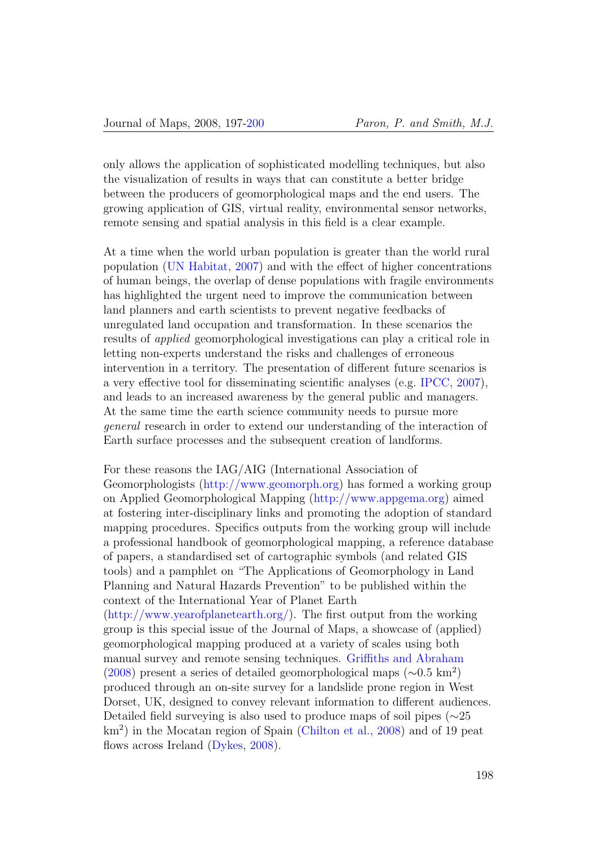only allows the application of sophisticated modelling techniques, but also the visualization of results in ways that can constitute a better bridge between the producers of geomorphological maps and the end users. The growing application of GIS, virtual reality, environmental sensor networks, remote sensing and spatial analysis in this field is a clear example.

At a time when the world urban population is greater than the world rural population [\(UN Habitat,](#page-3-4) [2007\)](#page-3-4) and with the effect of higher concentrations of human beings, the overlap of dense populations with fragile environments has highlighted the urgent need to improve the communication between land planners and earth scientists to prevent negative feedbacks of unregulated land occupation and transformation. In these scenarios the results of applied geomorphological investigations can play a critical role in letting non-experts understand the risks and challenges of erroneous intervention in a territory. The presentation of different future scenarios is a very effective tool for disseminating scientific analyses (e.g. [IPCC,](#page-3-5) [2007\)](#page-3-5), and leads to an increased awareness by the general public and managers. At the same time the earth science community needs to pursue more general research in order to extend our understanding of the interaction of Earth surface processes and the subsequent creation of landforms.

For these reasons the IAG/AIG (International Association of Geomorphologists [\(http://www.geomorph.org\)](http://www.geomorph.org) has formed a working group on Applied Geomorphological Mapping [\(http://www.appgema.org\)](http://www.appgema.org) aimed at fostering inter-disciplinary links and promoting the adoption of standard mapping procedures. Specifics outputs from the working group will include a professional handbook of geomorphological mapping, a reference database of papers, a standardised set of cartographic symbols (and related GIS tools) and a pamphlet on "The Applications of Geomorphology in Land Planning and Natural Hazards Prevention" to be published within the context of the International Year of Planet Earth [\(http://www.yearofplanetearth.org/\)](http://www.yearofplanetearth.org/). The first output from the working group is this special issue of the Journal of Maps, a showcase of (applied) geomorphological mapping produced at a variety of scales using both manual survey and remote sensing techniques. [Griffiths and Abraham](#page-2-2) [\(2008\)](#page-2-2) present a series of detailed geomorphological maps ( $\sim 0.5 \text{ km}^2$ ) produced through an on-site survey for a landslide prone region in West Dorset, UK, designed to convey relevant information to different audiences. Detailed field surveying is also used to produce maps of soil pipes ( $\sim$ 25 km<sup>2</sup>) in the Mocatan region of Spain [\(Chilton et al.,](#page-2-3) [2008\)](#page-2-3) and of 19 peat flows across Ireland [\(Dykes,](#page-2-4) [2008\)](#page-2-4).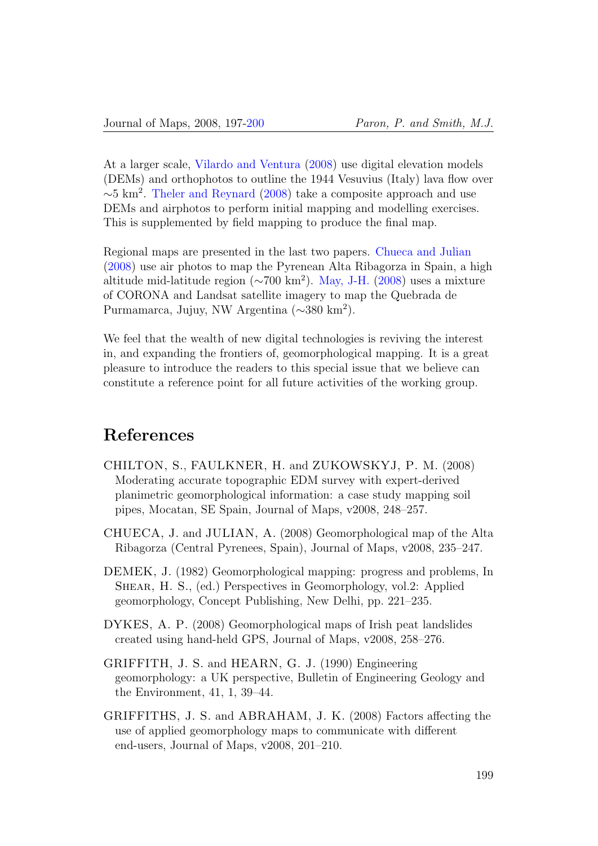At a larger scale, [Vilardo and Ventura](#page-3-6) [\(2008\)](#page-3-6) use digital elevation models (DEMs) and orthophotos to outline the 1944 Vesuvius (Italy) lava flow over  $\sim$ 5 km<sup>2</sup>. [Theler and Reynard](#page-3-7) [\(2008\)](#page-3-7) take a composite approach and use DEMs and airphotos to perform initial mapping and modelling exercises. This is supplemented by field mapping to produce the final map.

Regional maps are presented in the last two papers. [Chueca and Julian](#page-2-5) [\(2008\)](#page-2-5) use air photos to map the Pyrenean Alta Ribagorza in Spain, a high altitude mid-latitude region ( $\sim$ 700 km<sup>2</sup>). [May, J-H.](#page-3-8) [\(2008\)](#page-3-8) uses a mixture of CORONA and Landsat satellite imagery to map the Quebrada de Purmamarca, Jujuy, NW Argentina (∼380 km<sup>2</sup> ).

We feel that the wealth of new digital technologies is reviving the interest in, and expanding the frontiers of, geomorphological mapping. It is a great pleasure to introduce the readers to this special issue that we believe can constitute a reference point for all future activities of the working group.

## References

- <span id="page-2-3"></span>CHILTON, S., FAULKNER, H. and ZUKOWSKYJ, P. M. (2008) Moderating accurate topographic EDM survey with expert-derived planimetric geomorphological information: a case study mapping soil pipes, Mocatan, SE Spain, Journal of Maps, v2008, 248–257.
- <span id="page-2-5"></span>CHUECA, J. and JULIAN, A. (2008) Geomorphological map of the Alta Ribagorza (Central Pyrenees, Spain), Journal of Maps, v2008, 235–247.
- <span id="page-2-0"></span>DEMEK, J. (1982) Geomorphological mapping: progress and problems, In SHEAR, H. S., (ed.) Perspectives in Geomorphology, vol.2: Applied geomorphology, Concept Publishing, New Delhi, pp. 221–235.
- <span id="page-2-4"></span>DYKES, A. P. (2008) Geomorphological maps of Irish peat landslides created using hand-held GPS, Journal of Maps, v2008, 258–276.
- <span id="page-2-1"></span>GRIFFITH, J. S. and HEARN, G. J. (1990) Engineering geomorphology: a UK perspective, Bulletin of Engineering Geology and the Environment, 41, 1, 39–44.
- <span id="page-2-2"></span>GRIFFITHS, J. S. and ABRAHAM, J. K. (2008) Factors affecting the use of applied geomorphology maps to communicate with different end-users, Journal of Maps, v2008, 201–210.